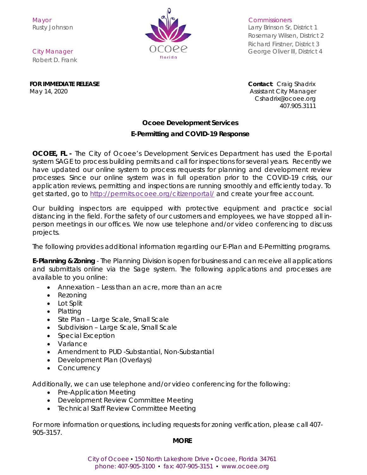

Rusty Johnson **Larry Brinson Sr, District 1** Rosemary Wilsen, District 2 Richard Firstner, District 3 City Manager City Manager City Manager City Manager George Oliver III, District 4

Robert D. Frank

**FOR IMMEDIATE RELEASE Contact**: Craig Shadrix May 14, 2020 **Assistant City Manager** May 14, 2020

 [Cshadrix@ocoee.org](mailto:Cshadrix@ocoee.org) 407.905.3111

## **Ocoee Development Services**

## **E-Permitting and COVID-19 Response**

**OCOEE, FL -** The City of Ocoee's Development Services Department has used the E-portal system SAGE to process building permits and call for inspections for several years. Recently we have updated our online system to process requests for planning and development review processes. Since our online system was in full operation prior to the COVID-19 crisis, our application reviews, permitting and inspections are running smoothly and efficiently today. To get started, go to<http://permits.ocoee.org/citizenportal/> and create your free account.

Our building inspectors are equipped with protective equipment and practice social distancing in the field. For the safety of our customers and employees, we have stopped all inperson meetings in our offices. We now use telephone and/or video conferencing to discuss projects.

The following provides additional information regarding our E-Plan and E-Permitting programs.

**E-Planning & Zoning** - The Planning Division is open for business and can receive all applications and submittals online via the Sage system. The following applications and processes are available to you online:

- Annexation Less than an acre, more than an acre
- Rezoning
- Lot Split
- Platting
- Site Plan Large Scale, Small Scale
- Subdivision Large Scale, Small Scale
- Special Exception
- Variance
- Amendment to PUD -Substantial, Non-Substantial
- Development Plan (Overlays)
- Concurrency

Additionally, we can use telephone and/or video conferencing for the following:

- Pre-Application Meeting
- Development Review Committee Meeting
- Technical Staff Review Committee Meeting

For more information or questions, including requests for zoning verification, please call 407- 905-3157.

#### **MORE**